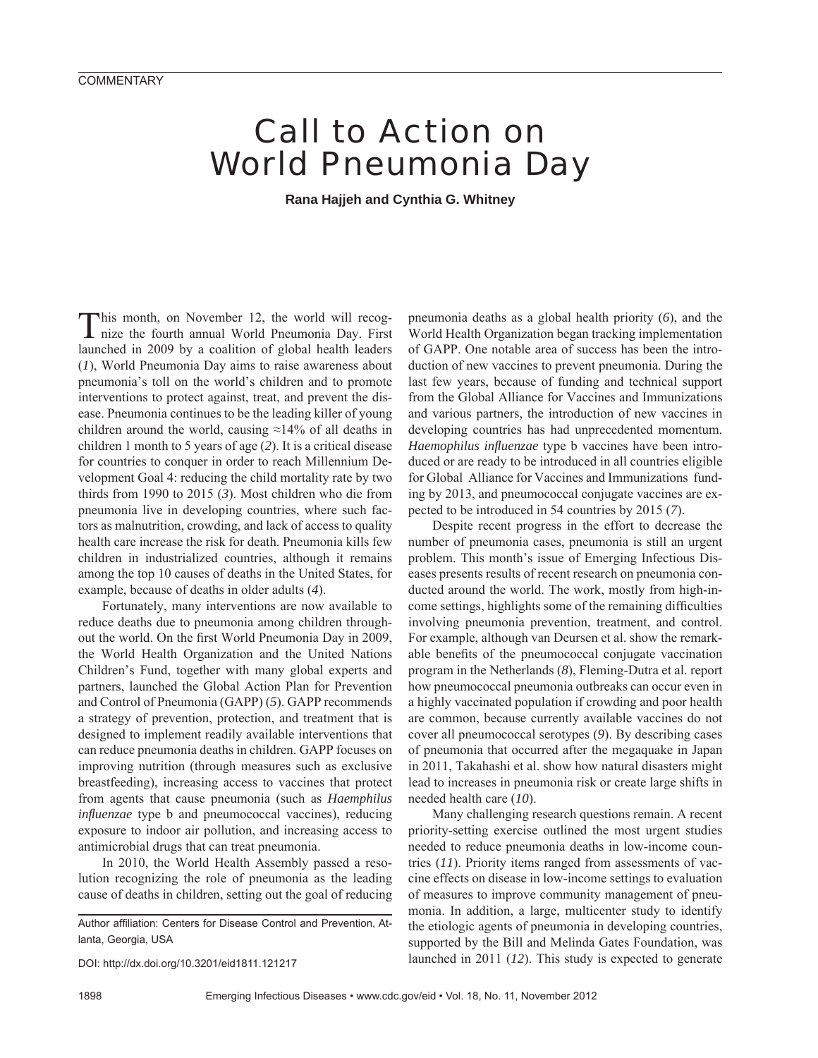## Call to Action on World Pneumonia Day

**Rana Hajjeh and Cynthia G. Whitney**

This month, on November 12, the world will recog-nize the fourth annual World Pneumonia Day. First launched in 2009 by a coalition of global health leaders (*1*), World Pneumonia Day aims to raise awareness about pneumonia's toll on the world's children and to promote interventions to protect against, treat, and prevent the disease. Pneumonia continues to be the leading killer of young children around the world, causing  $\approx$ 14% of all deaths in children 1 month to 5 years of age (*2*). It is a critical disease for countries to conquer in order to reach Millennium Development Goal 4: reducing the child mortality rate by two thirds from 1990 to 2015 (*3*). Most children who die from pneumonia live in developing countries, where such factors as malnutrition, crowding, and lack of access to quality health care increase the risk for death. Pneumonia kills few children in industrialized countries, although it remains among the top 10 causes of deaths in the United States, for example, because of deaths in older adults (*4*).

Fortunately, many interventions are now available to reduce deaths due to pneumonia among children throughout the world. On the first World Pneumonia Day in 2009, the World Health Organization and the United Nations Children's Fund, together with many global experts and partners, launched the Global Action Plan for Prevention and Control of Pneumonia (GAPP) (*5*). GAPP recommends a strategy of prevention, protection, and treatment that is designed to implement readily available interventions that can reduce pneumonia deaths in children. GAPP focuses on improving nutrition (through measures such as exclusive breastfeeding), increasing access to vaccines that protect from agents that cause pneumonia (such as *Haemphilus influenzae* type b and pneumococcal vaccines), reducing exposure to indoor air pollution, and increasing access to antimicrobial drugs that can treat pneumonia.

In 2010, the World Health Assembly passed a resolution recognizing the role of pneumonia as the leading cause of deaths in children, setting out the goal of reducing

Author affiliation: Centers for Disease Control and Prevention, Atlanta, Georgia, USA

DOI: http://dx.doi.org/10.3201/eid1811.121217

pneumonia deaths as a global health priority (*6*), and the World Health Organization began tracking implementation of GAPP. One notable area of success has been the introduction of new vaccines to prevent pneumonia. During the last few years, because of funding and technical support from the Global Alliance for Vaccines and Immunizations and various partners, the introduction of new vaccines in developing countries has had unprecedented momentum. *Haemophilus influenzae* type b vaccines have been introduced or are ready to be introduced in all countries eligible for Global Alliance for Vaccines and Immunizations funding by 2013, and pneumococcal conjugate vaccines are expected to be introduced in 54 countries by 2015 (*7*).

Despite recent progress in the effort to decrease the number of pneumonia cases, pneumonia is still an urgent problem. This month's issue of Emerging Infectious Diseases presents results of recent research on pneumonia conducted around the world. The work, mostly from high-income settings, highlights some of the remaining difficulties involving pneumonia prevention, treatment, and control. For example, although van Deursen et al. show the remarkable benefits of the pneumococcal conjugate vaccination program in the Netherlands (*8*), Fleming-Dutra et al. report how pneumococcal pneumonia outbreaks can occur even in a highly vaccinated population if crowding and poor health are common, because currently available vaccines do not cover all pneumococcal serotypes (*9*). By describing cases of pneumonia that occurred after the megaquake in Japan in 2011, Takahashi et al. show how natural disasters might lead to increases in pneumonia risk or create large shifts in needed health care (*10*).

Many challenging research questions remain. A recent priority-setting exercise outlined the most urgent studies needed to reduce pneumonia deaths in low-income countries (*11*). Priority items ranged from assessments of vaccine effects on disease in low-income settings to evaluation of measures to improve community management of pneumonia. In addition, a large, multicenter study to identify the etiologic agents of pneumonia in developing countries, supported by the Bill and Melinda Gates Foundation, was launched in 2011 (*12*). This study is expected to generate